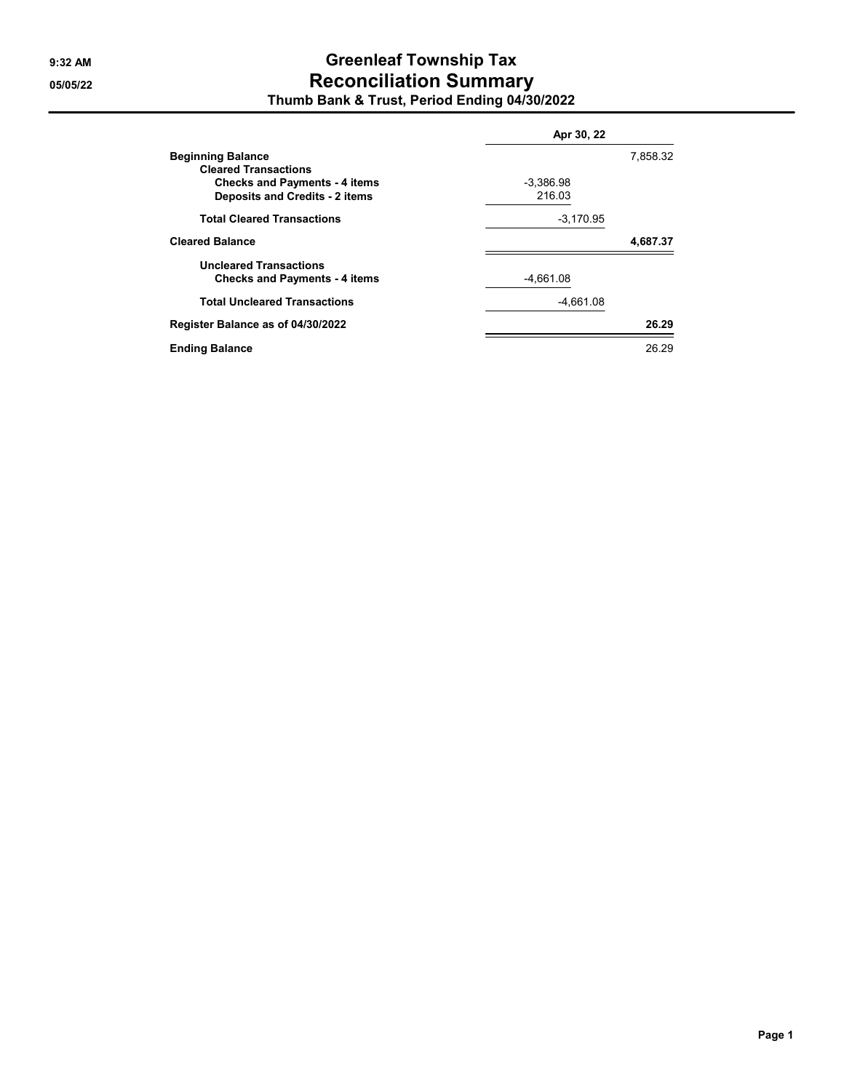## **9:32 AM Greenleaf Township Tax 05/05/22 Reconciliation Summary Thumb Bank & Trust, Period Ending 04/30/2022**

|                                       | Apr 30, 22  |          |  |
|---------------------------------------|-------------|----------|--|
| <b>Beginning Balance</b>              |             | 7,858.32 |  |
| <b>Cleared Transactions</b>           |             |          |  |
| <b>Checks and Payments - 4 items</b>  | $-3.386.98$ |          |  |
| <b>Deposits and Credits - 2 items</b> | 216.03      |          |  |
| <b>Total Cleared Transactions</b>     | $-3,170.95$ |          |  |
| <b>Cleared Balance</b>                |             | 4,687.37 |  |
| <b>Uncleared Transactions</b>         |             |          |  |
| <b>Checks and Payments - 4 items</b>  | $-4,661.08$ |          |  |
| <b>Total Uncleared Transactions</b>   | $-4.661.08$ |          |  |
| Register Balance as of 04/30/2022     |             | 26.29    |  |
| <b>Ending Balance</b>                 |             | 26.29    |  |